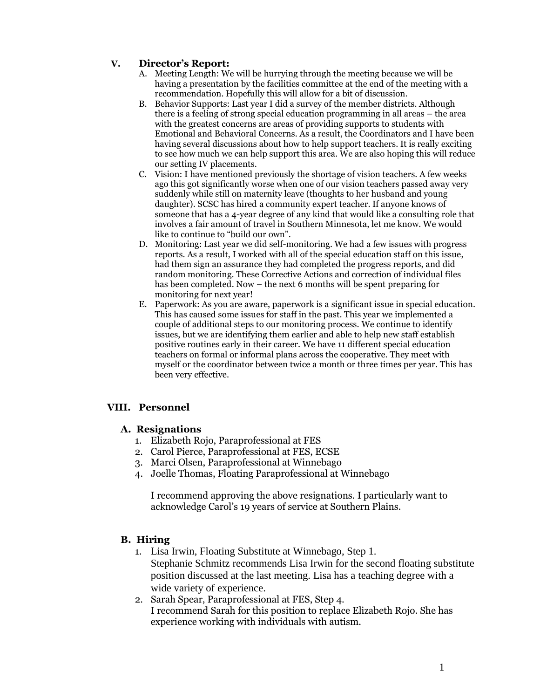## **V. Director's Report:**

- A. Meeting Length: We will be hurrying through the meeting because we will be having a presentation by the facilities committee at the end of the meeting with a recommendation. Hopefully this will allow for a bit of discussion.
- B. Behavior Supports: Last year I did a survey of the member districts. Although there is a feeling of strong special education programming in all areas – the area with the greatest concerns are areas of providing supports to students with Emotional and Behavioral Concerns. As a result, the Coordinators and I have been having several discussions about how to help support teachers. It is really exciting to see how much we can help support this area. We are also hoping this will reduce our setting IV placements.
- C. Vision: I have mentioned previously the shortage of vision teachers. A few weeks ago this got significantly worse when one of our vision teachers passed away very suddenly while still on maternity leave (thoughts to her husband and young daughter). SCSC has hired a community expert teacher. If anyone knows of someone that has a 4-year degree of any kind that would like a consulting role that involves a fair amount of travel in Southern Minnesota, let me know. We would like to continue to "build our own".
- D. Monitoring: Last year we did self-monitoring. We had a few issues with progress reports. As a result, I worked with all of the special education staff on this issue, had them sign an assurance they had completed the progress reports, and did random monitoring. These Corrective Actions and correction of individual files has been completed. Now – the next 6 months will be spent preparing for monitoring for next year!
- E. Paperwork: As you are aware, paperwork is a significant issue in special education. This has caused some issues for staff in the past. This year we implemented a couple of additional steps to our monitoring process. We continue to identify issues, but we are identifying them earlier and able to help new staff establish positive routines early in their career. We have 11 different special education teachers on formal or informal plans across the cooperative. They meet with myself or the coordinator between twice a month or three times per year. This has been very effective.

# **VIII. Personnel**

### **A. Resignations**

- 1. Elizabeth Rojo, Paraprofessional at FES
- 2. Carol Pierce, Paraprofessional at FES, ECSE
- 3. Marci Olsen, Paraprofessional at Winnebago
- 4. Joelle Thomas, Floating Paraprofessional at Winnebago

I recommend approving the above resignations. I particularly want to acknowledge Carol's 19 years of service at Southern Plains.

# **B. Hiring**

- 1. Lisa Irwin, Floating Substitute at Winnebago, Step 1. Stephanie Schmitz recommends Lisa Irwin for the second floating substitute position discussed at the last meeting. Lisa has a teaching degree with a wide variety of experience.
- 2. Sarah Spear, Paraprofessional at FES, Step 4. I recommend Sarah for this position to replace Elizabeth Rojo. She has experience working with individuals with autism.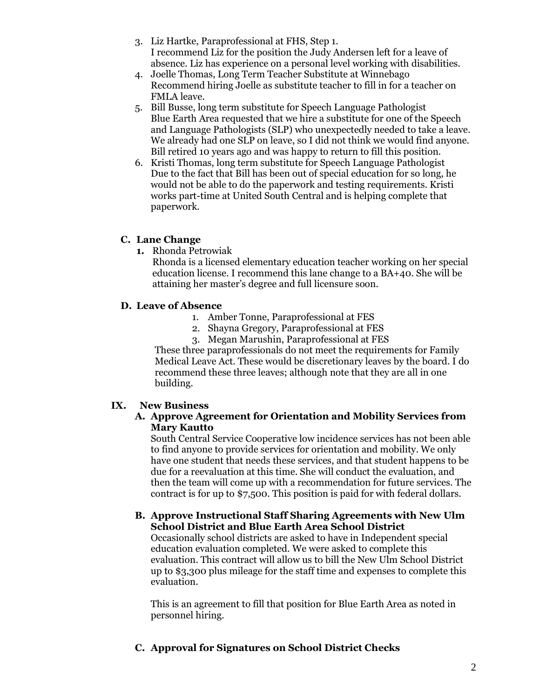- 3. Liz Hartke, Paraprofessional at FHS, Step 1. I recommend Liz for the position the Judy Andersen left for a leave of absence. Liz has experience on a personal level working with disabilities.
- 4. Joelle Thomas, Long Term Teacher Substitute at Winnebago Recommend hiring Joelle as substitute teacher to fill in for a teacher on FMLA leave.
- 5. Bill Busse, long term substitute for Speech Language Pathologist Blue Earth Area requested that we hire a substitute for one of the Speech and Language Pathologists (SLP) who unexpectedly needed to take a leave. We already had one SLP on leave, so I did not think we would find anyone. Bill retired 10 years ago and was happy to return to fill this position.
- 6. Kristi Thomas, long term substitute for Speech Language Pathologist Due to the fact that Bill has been out of special education for so long, he would not be able to do the paperwork and testing requirements. Kristi works part-time at United South Central and is helping complete that paperwork.

## **C. Lane Change**

**1.** Rhonda Petrowiak

Rhonda is a licensed elementary education teacher working on her special education license. I recommend this lane change to a BA+40. She will be attaining her master's degree and full licensure soon.

## **D. Leave of Absence**

- 1. Amber Tonne, Paraprofessional at FES
- 2. Shayna Gregory, Paraprofessional at FES
- 3. Megan Marushin, Paraprofessional at FES

These three paraprofessionals do not meet the requirements for Family Medical Leave Act. These would be discretionary leaves by the board. I do recommend these three leaves; although note that they are all in one building.

# **IX. New Business**

#### **A. Approve Agreement for Orientation and Mobility Services from Mary Kautto**

South Central Service Cooperative low incidence services has not been able to find anyone to provide services for orientation and mobility. We only have one student that needs these services, and that student happens to be due for a reevaluation at this time. She will conduct the evaluation, and then the team will come up with a recommendation for future services. The contract is for up to \$7,500. This position is paid for with federal dollars.

#### **B. Approve Instructional Staff Sharing Agreements with New Ulm School District and Blue Earth Area School District**

Occasionally school districts are asked to have in Independent special education evaluation completed. We were asked to complete this evaluation. This contract will allow us to bill the New Ulm School District up to \$3,300 plus mileage for the staff time and expenses to complete this evaluation.

This is an agreement to fill that position for Blue Earth Area as noted in personnel hiring.

# **C. Approval for Signatures on School District Checks**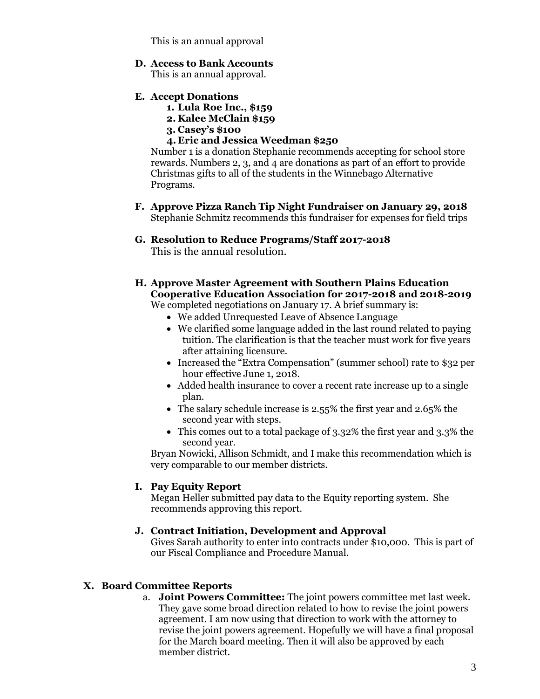This is an annual approval

#### **D. Access to Bank Accounts**

This is an annual approval.

- **E. Accept Donations**
	- **1. Lula Roe Inc., \$159**
	- **2. Kalee McClain \$159**
	- **3. Casey's \$100**
	- **4. Eric and Jessica Weedman \$250**

Number 1 is a donation Stephanie recommends accepting for school store rewards. Numbers 2, 3, and 4 are donations as part of an effort to provide Christmas gifts to all of the students in the Winnebago Alternative Programs.

- **F. Approve Pizza Ranch Tip Night Fundraiser on January 29, 2018** Stephanie Schmitz recommends this fundraiser for expenses for field trips
- **G. Resolution to Reduce Programs/Staff 2017-2018** This is the annual resolution.
- **H. Approve Master Agreement with Southern Plains Education Cooperative Education Association for 2017-2018 and 2018-2019**

We completed negotiations on January 17. A brief summary is:

- We added Unrequested Leave of Absence Language
- We clarified some language added in the last round related to paying tuition. The clarification is that the teacher must work for five years after attaining licensure.
- Increased the "Extra Compensation" (summer school) rate to \$32 per hour effective June 1, 2018.
- Added health insurance to cover a recent rate increase up to a single plan.
- The salary schedule increase is 2.55% the first year and 2.65% the second year with steps.
- This comes out to a total package of 3.32% the first year and 3.3% the second year.

Bryan Nowicki, Allison Schmidt, and I make this recommendation which is very comparable to our member districts.

### **I. Pay Equity Report**

Megan Heller submitted pay data to the Equity reporting system. She recommends approving this report.

### **J. Contract Initiation, Development and Approval**

Gives Sarah authority to enter into contracts under \$10,000. This is part of our Fiscal Compliance and Procedure Manual.

### **X. Board Committee Reports**

a. **Joint Powers Committee:** The joint powers committee met last week. They gave some broad direction related to how to revise the joint powers agreement. I am now using that direction to work with the attorney to revise the joint powers agreement. Hopefully we will have a final proposal for the March board meeting. Then it will also be approved by each member district.